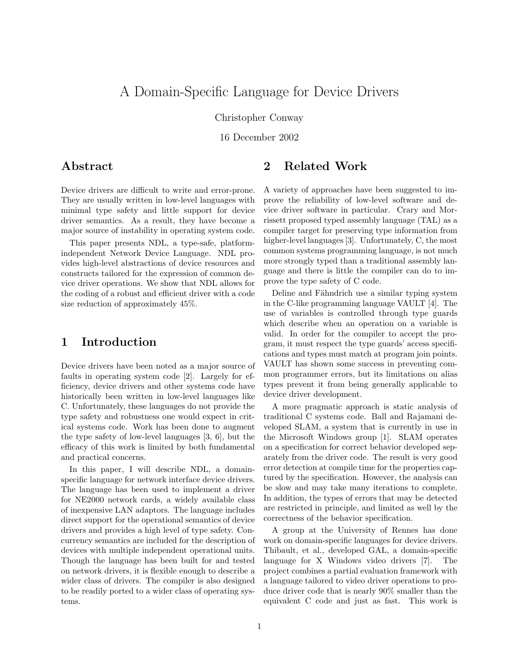# A Domain-Specific Language for Device Drivers

Christopher Conway

16 December 2002

## Abstract

2 Related Work

Device drivers are difficult to write and error-prone. They are usually written in low-level languages with minimal type safety and little support for device driver semantics. As a result, they have become a major source of instability in operating system code.

This paper presents NDL, a type-safe, platformindependent Network Device Language. NDL provides high-level abstractions of device resources and constructs tailored for the expression of common device driver operations. We show that NDL allows for the coding of a robust and efficient driver with a code size reduction of approximately 45%.

## 1 Introduction

Device drivers have been noted as a major source of faults in operating system code [2]. Largely for efficiency, device drivers and other systems code have historically been written in low-level languages like C. Unfortunately, these languages do not provide the type safety and robustness one would expect in critical systems code. Work has been done to augment the type safety of low-level languages [3, 6], but the efficacy of this work is limited by both fundamental and practical concerns.

In this paper, I will describe NDL, a domainspecific language for network interface device drivers. The language has been used to implement a driver for NE2000 network cards, a widely available class of inexpensive LAN adaptors. The language includes direct support for the operational semantics of device drivers and provides a high level of type safety. Concurrency semantics are included for the description of devices with multiple independent operational units. Though the language has been built for and tested on network drivers, it is flexible enough to describe a wider class of drivers. The compiler is also designed to be readily ported to a wider class of operating systems.

A variety of approaches have been suggested to improve the reliability of low-level software and device driver software in particular. Crary and Morrissett proposed typed assembly language (TAL) as a compiler target for preserving type information from higher-level languages [3]. Unfortunately, C, the most common systems programming language, is not much more strongly typed than a traditional assembly language and there is little the compiler can do to improve the type safety of C code.

Deline and Fähndrich use a similar typing system in the C-like programming language VAULT [4]. The use of variables is controlled through type guards which describe when an operation on a variable is valid. In order for the compiler to accept the program, it must respect the type guards' access specifications and types must match at program join points. VAULT has shown some success in preventing common programmer errors, but its limitations on alias types prevent it from being generally applicable to device driver development.

A more pragmatic approach is static analysis of traditional C systems code. Ball and Rajamani developed SLAM, a system that is currently in use in the Microsoft Windows group [1]. SLAM operates on a specification for correct behavior developed separately from the driver code. The result is very good error detection at compile time for the properties captured by the specification. However, the analysis can be slow and may take many iterations to complete. In addition, the types of errors that may be detected are restricted in principle, and limited as well by the correctness of the behavior specification.

A group at the University of Rennes has done work on domain-specific languages for device drivers. Thibault, et al., developed GAL, a domain-specific language for X Windows video drivers [7]. The project combines a partial evaluation framework with a language tailored to video driver operations to produce driver code that is nearly 90% smaller than the equivalent C code and just as fast. This work is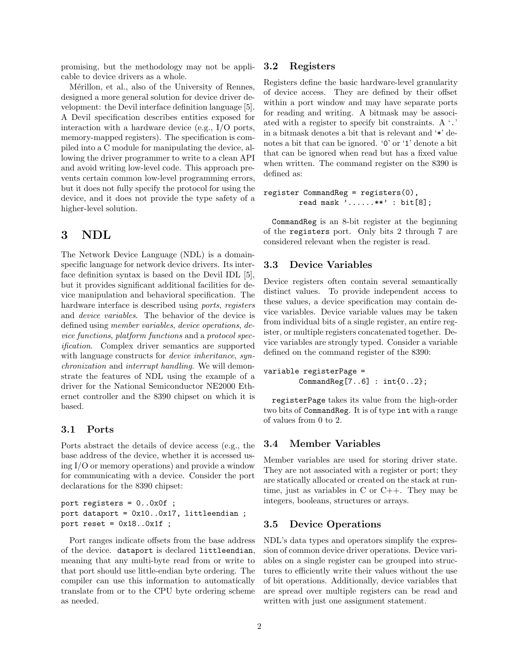promising, but the methodology may not be applicable to device drivers as a whole.

Mérillon, et al., also of the University of Rennes, designed a more general solution for device driver development: the Devil interface definition language [5]. A Devil specification describes entities exposed for interaction with a hardware device (e.g., I/O ports, memory-mapped registers). The specification is compiled into a C module for manipulating the device, allowing the driver programmer to write to a clean API and avoid writing low-level code. This approach prevents certain common low-level programming errors, but it does not fully specify the protocol for using the device, and it does not provide the type safety of a higher-level solution.

## 3 NDL

The Network Device Language (NDL) is a domainspecific language for network device drivers. Its interface definition syntax is based on the Devil IDL [5], but it provides significant additional facilities for device manipulation and behavioral specification. The hardware interface is described using *ports, reqisters* and device variables. The behavior of the device is defined using member variables, device operations, device functions, platform functions and a protocol specification. Complex driver semantics are supported with language constructs for *device inheritance*, synchronization and interrupt handling. We will demonstrate the features of NDL using the example of a driver for the National Semiconductor NE2000 Ethernet controller and the 8390 chipset on which it is based.

#### 3.1 Ports

Ports abstract the details of device access (e.g., the base address of the device, whether it is accessed using I/O or memory operations) and provide a window for communicating with a device. Consider the port declarations for the 8390 chipset:

```
port registers = 0..0x0f ;
port dataport = 0x10..0x17, littleendian ;
port reset = 0x18..0x1f ;
```
Port ranges indicate offsets from the base address of the device. dataport is declared littleendian, meaning that any multi-byte read from or write to that port should use little-endian byte ordering. The compiler can use this information to automatically translate from or to the CPU byte ordering scheme as needed.

#### 3.2 Registers

Registers define the basic hardware-level granularity of device access. They are defined by their offset within a port window and may have separate ports for reading and writing. A bitmask may be associated with a register to specify bit constraints. A '.' in a bitmask denotes a bit that is relevant and '\*' denotes a bit that can be ignored. '0' or '1' denote a bit that can be ignored when read but has a fixed value when written. The command register on the 8390 is defined as:

register CommandReg = registers(0), read mask '......\*\*' : bit[8];

CommandReg is an 8-bit register at the beginning of the registers port. Only bits 2 through 7 are considered relevant when the register is read.

## 3.3 Device Variables

Device registers often contain several semantically distinct values. To provide independent access to these values, a device specification may contain device variables. Device variable values may be taken from individual bits of a single register, an entire register, or multiple registers concatenated together. Device variables are strongly typed. Consider a variable defined on the command register of the 8390:

variable registerPage = CommandReg[7..6] : int{0..2};

registerPage takes its value from the high-order two bits of CommandReg. It is of type int with a range of values from 0 to 2.

### 3.4 Member Variables

Member variables are used for storing driver state. They are not associated with a register or port; they are statically allocated or created on the stack at runtime, just as variables in C or C++. They may be integers, booleans, structures or arrays.

#### 3.5 Device Operations

NDL's data types and operators simplify the expression of common device driver operations. Device variables on a single register can be grouped into structures to efficiently write their values without the use of bit operations. Additionally, device variables that are spread over multiple registers can be read and written with just one assignment statement.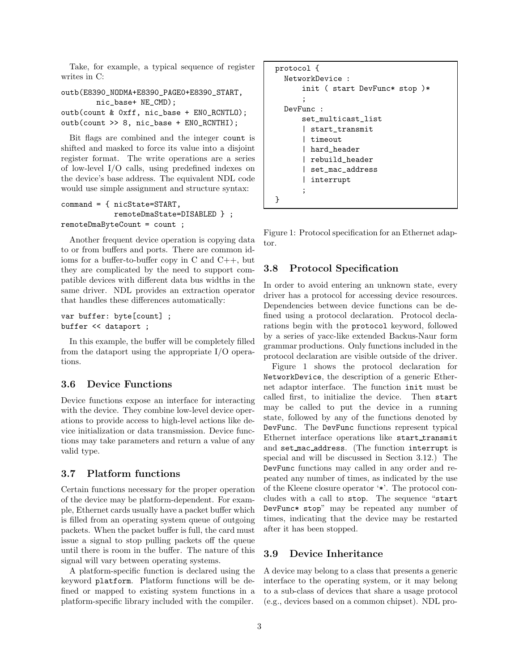Take, for example, a typical sequence of register writes in C:

```
outb(E8390_NODMA+E8390_PAGE0+E8390_START,
        nic_base+ NE_CMD);
outb(count & 0xff, nic_base + EN0_RCNTLO);
outb(count >> 8, nic_base + EN0_RCNTHI);
```
Bit flags are combined and the integer count is shifted and masked to force its value into a disjoint register format. The write operations are a series of low-level I/O calls, using predefined indexes on the device's base address. The equivalent NDL code would use simple assignment and structure syntax:

```
command = { nicState=START,
            remoteDmaState=DISABLED } ;
remoteDmaByteCount = count ;
```
Another frequent device operation is copying data to or from buffers and ports. There are common idioms for a buffer-to-buffer copy in C and C++, but they are complicated by the need to support compatible devices with different data bus widths in the same driver. NDL provides an extraction operator that handles these differences automatically:

```
var buffer: byte[count] ;
buffer << dataport ;
```
In this example, the buffer will be completely filled from the dataport using the appropriate I/O operations.

## 3.6 Device Functions

Device functions expose an interface for interacting with the device. They combine low-level device operations to provide access to high-level actions like device initialization or data transmission. Device functions may take parameters and return a value of any valid type.

#### 3.7 Platform functions

Certain functions necessary for the proper operation of the device may be platform-dependent. For example, Ethernet cards usually have a packet buffer which is filled from an operating system queue of outgoing packets. When the packet buffer is full, the card must issue a signal to stop pulling packets off the queue until there is room in the buffer. The nature of this signal will vary between operating systems.

A platform-specific function is declared using the keyword platform. Platform functions will be defined or mapped to existing system functions in a platform-specific library included with the compiler.

```
protocol {
  NetworkDevice :
      init ( start DevFunc* stop )*
      ;
  DevFunc :
      set_multicast_list
      | start_transmit
      | timeout
      | hard_header
      | rebuild_header
      | set_mac_address
      | interrupt
      ;
}
```
Figure 1: Protocol specification for an Ethernet adaptor.

### 3.8 Protocol Specification

In order to avoid entering an unknown state, every driver has a protocol for accessing device resources. Dependencies between device functions can be defined using a protocol declaration. Protocol declarations begin with the protocol keyword, followed by a series of yacc-like extended Backus-Naur form grammar productions. Only functions included in the protocol declaration are visible outside of the driver.

Figure 1 shows the protocol declaration for NetworkDevice, the description of a generic Ethernet adaptor interface. The function init must be called first, to initialize the device. Then start may be called to put the device in a running state, followed by any of the functions denoted by DevFunc. The DevFunc functions represent typical Ethernet interface operations like start transmit and set mac address. (The function interrupt is special and will be discussed in Section 3.12.) The DevFunc functions may called in any order and repeated any number of times, as indicated by the use of the Kleene closure operator '\*'. The protocol concludes with a call to stop. The sequence "start DevFunc\* stop" may be repeated any number of times, indicating that the device may be restarted after it has been stopped.

### 3.9 Device Inheritance

A device may belong to a class that presents a generic interface to the operating system, or it may belong to a sub-class of devices that share a usage protocol (e.g., devices based on a common chipset). NDL pro-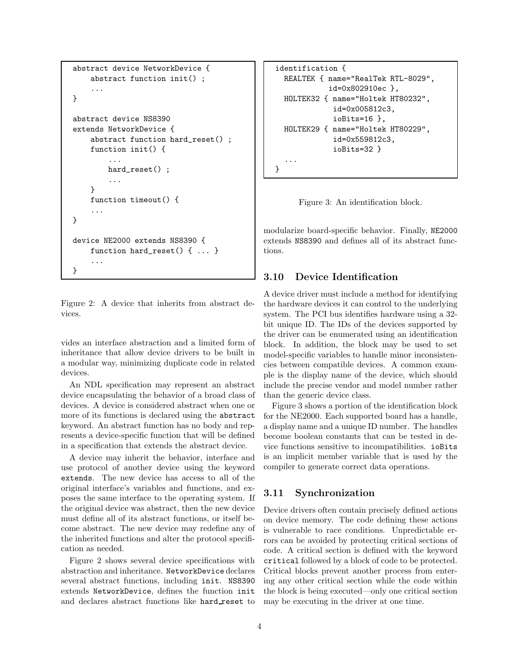```
abstract device NetworkDevice {
    abstract function init() ;
    ...
}
abstract device NS8390
extends NetworkDevice {
    abstract function hard_reset() ;
    function init() {
        ...
        hard_reset() ;
        ...
    }
    function timeout() {
    ...
}
device NE2000 extends NS8390 {
    function hard_reset() { ... }
    ...
}
```
Figure 2: A device that inherits from abstract devices.

vides an interface abstraction and a limited form of inheritance that allow device drivers to be built in a modular way, minimizing duplicate code in related devices.

An NDL specification may represent an abstract device encapsulating the behavior of a broad class of devices. A device is considered abstract when one or more of its functions is declared using the abstract keyword. An abstract function has no body and represents a device-specific function that will be defined in a specification that extends the abstract device.

A device may inherit the behavior, interface and use protocol of another device using the keyword extends. The new device has access to all of the original interface's variables and functions, and exposes the same interface to the operating system. If the original device was abstract, then the new device must define all of its abstract functions, or itself become abstract. The new device may redefine any of the inherited functions and alter the protocol specification as needed.

Figure 2 shows several device specifications with abstraction and inheritance. NetworkDevice declares several abstract functions, including init. NS8390 extends NetworkDevice, defines the function init and declares abstract functions like hard reset to

```
identification {
  REALTEK { name="RealTek RTL-8029",
            id=0x802910ec },
  HOLTEK32 { name="Holtek HT80232",
             id=0x005812c3,
             ioBits=16 },
  HOLTEK29 { name="Holtek HT80229",
             id=0x559812c3,
             ioBits=32 }
  ...
}
```
Figure 3: An identification block.

modularize board-specific behavior. Finally, NE2000 extends NS8390 and defines all of its abstract functions.

## 3.10 Device Identification

A device driver must include a method for identifying the hardware devices it can control to the underlying system. The PCI bus identifies hardware using a 32 bit unique ID. The IDs of the devices supported by the driver can be enumerated using an identification block. In addition, the block may be used to set model-specific variables to handle minor inconsistencies between compatible devices. A common example is the display name of the device, which should include the precise vendor and model number rather than the generic device class.

Figure 3 shows a portion of the identification block for the NE2000. Each supported board has a handle, a display name and a unique ID number. The handles become boolean constants that can be tested in device functions sensitive to incompatibilities. ioBits is an implicit member variable that is used by the compiler to generate correct data operations.

### 3.11 Synchronization

Device drivers often contain precisely defined actions on device memory. The code defining these actions is vulnerable to race conditions. Unpredictable errors can be avoided by protecting critical sections of code. A critical section is defined with the keyword critical followed by a block of code to be protected. Critical blocks prevent another process from entering any other critical section while the code within the block is being executed—only one critical section may be executing in the driver at one time.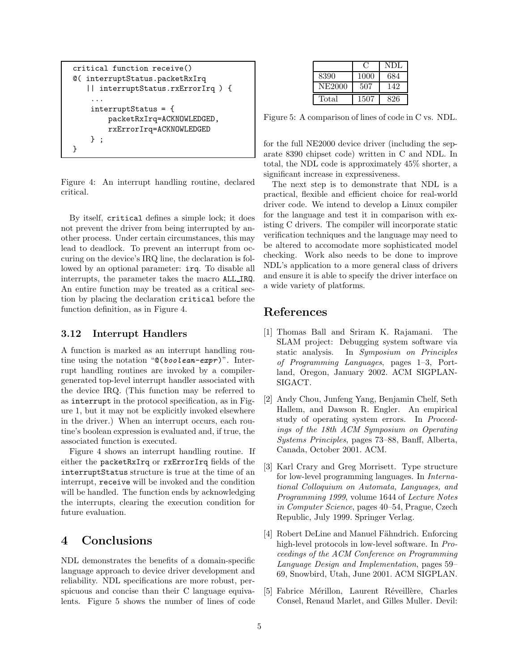```
critical function receive()
@( interruptStatus.packetRxIrq
   || interruptStatus.rxErrorIrq ) {
    ...
    interruptStatus = {
        packetRxIrq=ACKNOWLEDGED,
        rxErrorIrq=ACKNOWLEDGED
    } ;
}
```
Figure 4: An interrupt handling routine, declared critical.

By itself, critical defines a simple lock; it does not prevent the driver from being interrupted by another process. Under certain circumstances, this may lead to deadlock. To prevent an interrupt from occuring on the device's IRQ line, the declaration is followed by an optional parameter: irq. To disable all interrupts, the parameter takes the macro ALL IRQ. An entire function may be treated as a critical section by placing the declaration critical before the function definition, as in Figure 4.

### 3.12 Interrupt Handlers

A function is marked as an interrupt handling routine using the notation "@(boolean-expr)". Interrupt handling routines are invoked by a compilergenerated top-level interrupt handler associated with the device IRQ. (This function may be referred to as interrupt in the protocol specification, as in Figure 1, but it may not be explicitly invoked elsewhere in the driver.) When an interrupt occurs, each routine's boolean expression is evaluated and, if true, the associated function is executed.

Figure 4 shows an interrupt handling routine. If either the packetRxIrq or rxErrorIrq fields of the interruptStatus structure is true at the time of an interrupt, receive will be invoked and the condition will be handled. The function ends by acknowledging the interrupts, clearing the execution condition for future evaluation.

## 4 Conclusions

NDL demonstrates the benefits of a domain-specific language approach to device driver development and reliability. NDL specifications are more robust, perspicuous and concise than their C language equivalents. Figure 5 shows the number of lines of code

|        |      | NDL |
|--------|------|-----|
| 8390   | 1000 | 684 |
| NE2000 | 507  | 142 |
| Total  | 1507 | 826 |

Figure 5: A comparison of lines of code in C vs. NDL.

for the full NE2000 device driver (including the separate 8390 chipset code) written in C and NDL. In total, the NDL code is approximately 45% shorter, a significant increase in expressiveness.

The next step is to demonstrate that NDL is a practical, flexible and efficient choice for real-world driver code. We intend to develop a Linux compiler for the language and test it in comparison with existing C drivers. The compiler will incorporate static verification techniques and the language may need to be altered to accomodate more sophisticated model checking. Work also needs to be done to improve NDL's application to a more general class of drivers and ensure it is able to specify the driver interface on a wide variety of platforms.

## References

- [1] Thomas Ball and Sriram K. Rajamani. The SLAM project: Debugging system software via static analysis. In Symposium on Principles of Programming Languages, pages 1–3, Portland, Oregon, January 2002. ACM SIGPLAN-SIGACT.
- [2] Andy Chou, Junfeng Yang, Benjamin Chelf, Seth Hallem, and Dawson R. Engler. An empirical study of operating system errors. In Proceedings of the 18th ACM Symposium on Operating Systems Principles, pages 73–88, Banff, Alberta, Canada, October 2001. ACM.
- [3] Karl Crary and Greg Morrisett. Type structure for low-level programming languages. In International Colloquium on Automata, Languages, and Programming 1999, volume 1644 of Lecture Notes in Computer Science, pages 40–54, Prague, Czech Republic, July 1999. Springer Verlag.
- [4] Robert DeLine and Manuel Fähndrich. Enforcing high-level protocols in low-level software. In Proceedings of the ACM Conference on Programming Language Design and Implementation, pages 59– 69, Snowbird, Utah, June 2001. ACM SIGPLAN.
- [5] Fabrice Mérillon, Laurent Réveillère, Charles Consel, Renaud Marlet, and Gilles Muller. Devil: